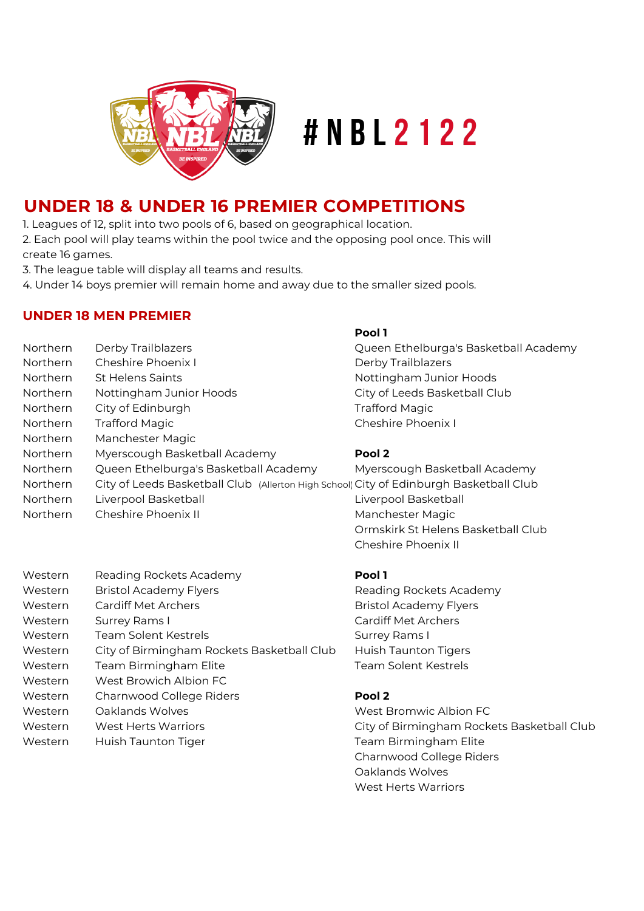

# #NBL2122

# **UNDER 18 & UNDER 16 PREMIER COMPETITIONS**

1. Leagues of 12, split into two pools of 6, based on geographical location.

2. Each pool will play teams within the pool twice and the opposing pool once. This will create 16 games.

3. The league table will display all teams and results.

4. Under 14 boys premier will remain home and away due to the smaller sized pools.

# **UNDER 18 MEN PREMIER**

Western Reading Rockets Academy

|                 |                                                                                       | Pool 1                                |
|-----------------|---------------------------------------------------------------------------------------|---------------------------------------|
| <b>Northern</b> | Derby Trailblazers                                                                    | Queen Ethelburga's Basketball Academy |
| <b>Northern</b> | Cheshire Phoenix I                                                                    | Derby Trailblazers                    |
| Northern        | <b>St Helens Saints</b>                                                               | Nottingham Junior Hoods               |
| Northern        | Nottingham Junior Hoods                                                               | City of Leeds Basketball Club         |
| <b>Northern</b> | City of Edinburgh                                                                     | <b>Trafford Magic</b>                 |
| <b>Northern</b> | <b>Trafford Magic</b>                                                                 | Cheshire Phoenix I                    |
| Northern        | Manchester Magic                                                                      |                                       |
| Northern        | Myerscough Basketball Academy                                                         | Pool 2                                |
| <b>Northern</b> | Queen Ethelburga's Basketball Academy                                                 | Myerscough Basketball Academy         |
| Northern        | City of Leeds Basketball Club (Allerton High School City of Edinburgh Basketball Club |                                       |
| Northern        | Liverpool Basketball                                                                  | Liverpool Basketball                  |
| Northern        | Cheshire Phoenix II                                                                   | Manchester Magic                      |
|                 |                                                                                       | Ormskirk St Helens Basketball Club    |

| I |
|---|
|   |

Cheshire Phoenix II

Western Bristol Academy Flyers **Reading Rockets Academy** Western Cardiff Met Archers **Bristol Academy Flyers** Bristol Academy Flyers Western Surrey Rams I Cardiff Met Archers Western Team Solent Kestrels Surrey Rams I Western City of Birmingham Rockets Basketball Club Huish Taunton Tigers Western Team Birmingham Elite Team Team Solent Kestrels Western West Browich Albion FC Western Charnwood College Riders **Pool 2** Western Oaklands Wolves Network Controller Mest Bromwic Albion FC Western West Herts Warriors **City of Birmingham Rockets Basketball Club** 

Western Huish Taunton Tiger Team Birmingham Elite Charnwood College Riders Oaklands Wolves West Herts Warriors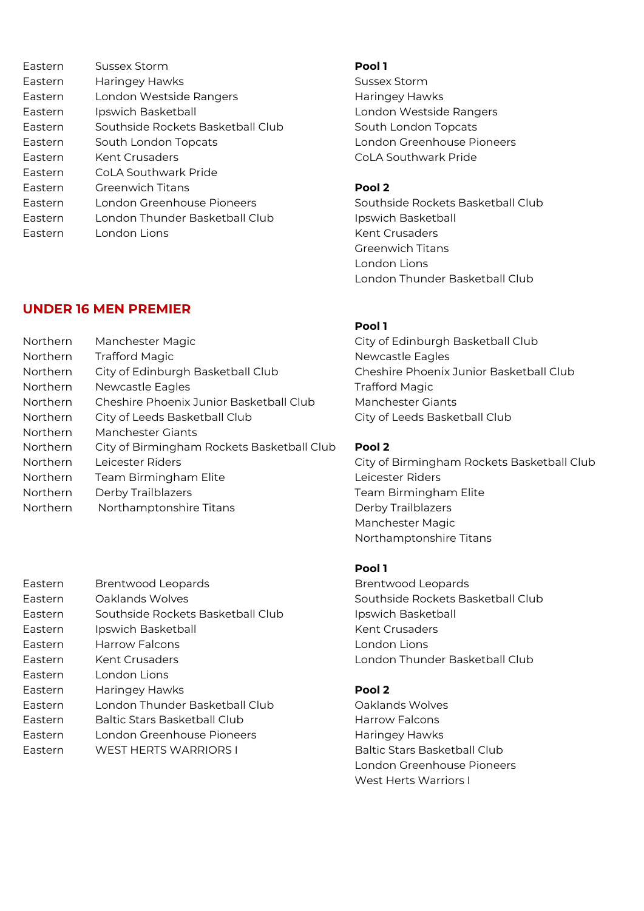| Eastern | Sussex Storm                      | Pool 1            |
|---------|-----------------------------------|-------------------|
| Eastern | Haringey Hawks                    | Sussex            |
| Eastern | London Westside Rangers           | Haring            |
| Eastern | Ipswich Basketball                | Londo             |
| Eastern | Southside Rockets Basketball Club | South             |
| Eastern | South London Topcats              | Londo             |
| Eastern | <b>Kent Crusaders</b>             | CoLA 9            |
| Eastern | CoLA Southwark Pride              |                   |
| Eastern | <b>Greenwich Titans</b>           | Pool <sub>2</sub> |
| Eastern | London Greenhouse Pioneers        | South:            |
| Eastern | London Thunder Basketball Club    | Ipswic            |
| Eastern | London Lions                      | Kent C            |
|         |                                   |                   |

# **UNDER 16 MEN PREMIER**

| Northern | Manchester Magic                           | City of           |
|----------|--------------------------------------------|-------------------|
| Northern | <b>Trafford Magic</b>                      | Newca             |
| Northern | City of Edinburgh Basketball Club          | Chesh             |
| Northern | Newcastle Eagles                           | Traffor           |
| Northern | Cheshire Phoenix Junior Basketball Club    | Manch             |
| Northern | City of Leeds Basketball Club              | City of           |
| Northern | Manchester Giants                          |                   |
| Northern | City of Birmingham Rockets Basketball Club | Pool <sub>2</sub> |
| Northern | Leicester Riders                           | City of           |
| Northern | Team Birmingham Elite                      | Leices            |
| Northern | Derby Trailblazers                         | Team              |
| Northern | Northamptonshire Titans                    | Derby             |
|          |                                            |                   |

| Eastern | <b>Brentwood Leopards</b>           | <b>Brenty</b> |
|---------|-------------------------------------|---------------|
| Eastern | Oaklands Wolves                     | Souths        |
| Eastern | Southside Rockets Basketball Club   | Ipswic        |
| Eastern | Ipswich Basketball                  | Kent C        |
| Eastern | Harrow Falcons                      | Londo         |
| Eastern | <b>Kent Crusaders</b>               | Londo         |
| Eastern | London Lions                        |               |
| Eastern | Haringey Hawks                      | Pool 2        |
| Eastern | London Thunder Basketball Club      | Oaklar        |
| Eastern | <b>Baltic Stars Basketball Club</b> | Harroy        |
| Eastern | London Greenhouse Pioneers          | Harinc        |
| Eastern | WEST HERTS WARRIORS I               | Baltic        |

Sussex Storm Haringey Hawks London Westside Rangers South London Topcats London Greenhouse Pioneers CoLA Southwark Pride

Southside Rockets Basketball Club Ipswich Basketball Kent Crusaders Greenwich Titans London Lions London Thunder Basketball Club

### **Pool 1**

City of Edinburgh Basketball Club Newcastle Eagles Cheshire Phoenix Junior Basketball Club Trafford Magic Manchester Giants City of Leeds Basketball Club

City of Birmingham Rockets Basketball Club Leicester Riders Team Birmingham Elite Derby Trailblazers Manchester Magic Northamptonshire Titans

## **Pool 1**

Brentwood Leopards Southside Rockets Basketball Club Ipswich Basketball Kent Crusaders London Lions **London Thunder Basketball Club** 

Oaklands Wolves Harrow Falcons Haringey Hawks Baltic Stars Basketball Club London Greenhouse Pioneers West Herts Warriors I